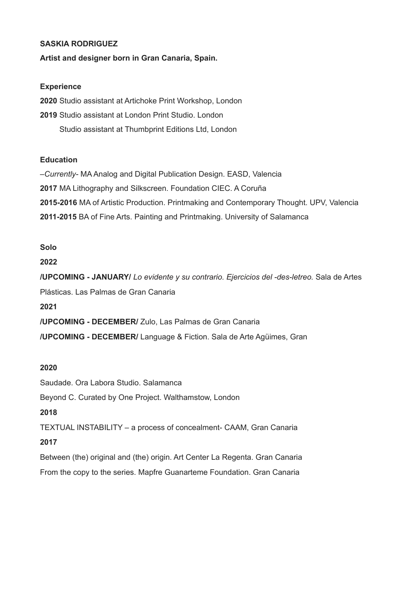### **SASKIA RODRIGUEZ**

#### **Artist and designer born in Gran Canaria, Spain.**

#### **Experience**

**2020** Studio assistant at Artichoke Print Workshop, London **2019** Studio assistant at London Print Studio. London Studio assistant at Thumbprint Editions Ltd, London

### **Education**

–*Currently-* MA Analog and Digital Publication Design. EASD, Valencia **2017** MA Lithography and Silkscreen. Foundation CIEC. A Coruña **2015-2016** MA of Artistic Production. Printmaking and Contemporary Thought. UPV, Valencia **2011-2015** BA of Fine Arts. Painting and Printmaking. University of Salamanca

### **Solo**

#### **2022**

**/UPCOMING - JANUARY/** *Lo evidente y su contrario. Ejercicios del -des-letreo.* Sala de Artes Plásticas. Las Palmas de Gran Canaria

**2021**

**/UPCOMING - DECEMBER/** Zulo, Las Palmas de Gran Canaria

**/UPCOMING - DECEMBER/** Language & Fiction. Sala de Arte Agüimes, Gran

### **2020**

Saudade. Ora Labora Studio. Salamanca

Beyond C. Curated by One Project. Walthamstow, London

# **2018**

TEXTUAL INSTABILITY – a process of concealment- CAAM, Gran Canaria

### **2017**

Between (the) original and (the) origin. Art Center La Regenta. Gran Canaria From the copy to the series. Mapfre Guanarteme Foundation. Gran Canaria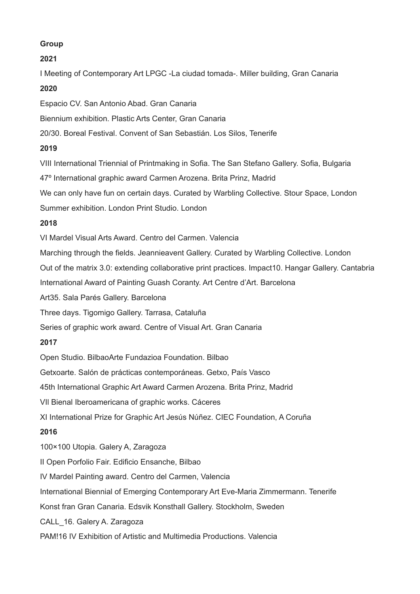# **Group**

## **2021**

I Meeting of Contemporary Art LPGC -La ciudad tomada-. Miller building, Gran Canaria

# **2020**

Espacio CV. San Antonio Abad. Gran Canaria

Biennium exhibition. Plastic Arts Center, Gran Canaria

20/30. Boreal Festival. Convent of San Sebastián. Los Silos, Tenerife

# **2019**

VIII International Triennial of Printmaking in Sofia. The San Stefano Gallery. Sofia, Bulgaria

47º International graphic award Carmen Arozena. Brita Prinz, Madrid

We can only have fun on certain days. Curated by Warbling Collective. Stour Space, London

Summer exhibition. London Print Studio. London

# **2018**

VI Mardel Visual Arts Award. Centro del Carmen. Valencia

Marching through the fields. Jeannieavent Gallery. Curated by Warbling Collective. London

Out of the matrix 3.0: extending collaborative print practices. Impact10. Hangar Gallery. Cantabria

International Award of Painting Guash Coranty. Art Centre d'Art. Barcelona

Art35. Sala Parés Gallery. Barcelona

Three days. Tigomigo Gallery. Tarrasa, Cataluña

Series of graphic work award. Centre of Visual Art. Gran Canaria

# **2017**

Open Studio. BilbaoArte Fundazioa Foundation. Bilbao

Getxoarte. Salón de prácticas contemporáneas. Getxo, País Vasco

45th International Graphic Art Award Carmen Arozena. Brita Prinz, Madrid

VIl Bienal Iberoamericana of graphic works. Cáceres

XI International Prize for Graphic Art Jesús Núñez. CIEC Foundation, A Coruña

# **2016**

100×100 Utopia. Galery A, Zaragoza

II Open Porfolio Fair. Edificio Ensanche, Bilbao

IV Mardel Painting award. Centro del Carmen, Valencia

International Biennial of Emerging Contemporary Art Eve-Maria Zimmermann. Tenerife

Konst fran Gran Canaria. Edsvik Konsthall Gallery. Stockholm, Sweden

CALL\_16. Galery A. Zaragoza

PAM!16 IV Exhibition of Artistic and Multimedia Productions. Valencia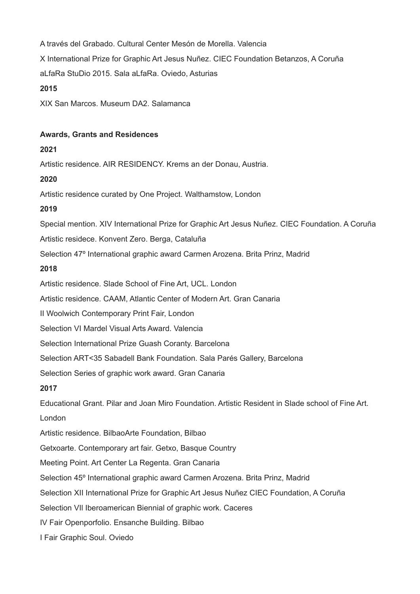A través del Grabado. Cultural Center Mesón de Morella. Valencia X International Prize for Graphic Art Jesus Nuñez. CIEC Foundation Betanzos, A Coruña aLfaRa StuDio 2015. Sala aLfaRa. Oviedo, Asturias **2015**

XIX San Marcos. Museum DA2. Salamanca

### **Awards, Grants and Residences**

### **2021**

Artistic residence. AIR RESIDENCY. Krems an der Donau, Austria.

# **2020**

Artistic residence curated by One Project. Walthamstow, London

# **2019**

Special mention. XIV International Prize for Graphic Art Jesus Nuñez. CIEC Foundation. A Coruña

Artistic residece. Konvent Zero. Berga, Cataluña

Selection 47º International graphic award Carmen Arozena. Brita Prinz, Madrid

### **2018**

Artistic residence. Slade School of Fine Art, UCL. London

Artistic residence. CAAM, Atlantic Center of Modern Art. Gran Canaria

II Woolwich Contemporary Print Fair, London

Selection VI Mardel Visual Arts Award. Valencia

Selection International Prize Guash Coranty. Barcelona

Selection ART<35 Sabadell Bank Foundation. Sala Parés Gallery, Barcelona

Selection Series of graphic work award. Gran Canaria

# **2017**

Educational Grant. Pilar and Joan Miro Foundation. Artistic Resident in Slade school of Fine Art. London

Artistic residence. BilbaoArte Foundation, Bilbao

Getxoarte. Contemporary art fair. Getxo, Basque Country

Meeting Point. Art Center La Regenta. Gran Canaria

Selection 45º International graphic award Carmen Arozena. Brita Prinz, Madrid

Selection XII International Prize for Graphic Art Jesus Nuñez CIEC Foundation, A Coruña

Selection VIl Iberoamerican Biennial of graphic work. Caceres

IV Fair Openporfolio. Ensanche Building. Bilbao

I Fair Graphic Soul. Oviedo